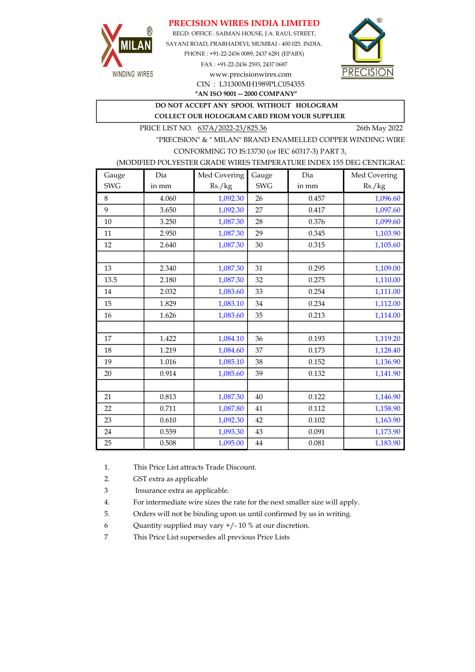## PRECISION WIRES INDIA LIMITED



REGD. OFFICE : SAIMAN HOUSE, J.A. RAUL STREET, SAYANI ROAD, PRABHADEVI, MUMBAI - 400 025. INDIA. PHONE : +91-22-2436 0089, 2437 6281 (EPABX) FAX : +91-22-2436 2593, 2437 0687 www.precisionwires.com



"AN ISO 9001 -- 2000 COMPANY" CIN : L31300MH1989PLC054355

DO NOT ACCEPT ANY SPOOL WITHOUT HOLOGRAM

COLLECT OUR HOLOGRAM CARD FROM YOUR SUPPLIER

PRICE LIST NO. 637A/2022-23/825.36 26th May 2022

"PRECISION" & " MILAN" BRAND ENAMELLED COPPER WINDING WIRE CONFORMING TO IS:13730 (or IEC 60317-3) PART 3,

### (MODIFIED POLYESTER GRADE WIRES TEMPERATURE INDEX 155 DEG CENTIGRAD

| Gauge      | Dia   | Med Covering | Gauge      | Dia   | Med Covering |
|------------|-------|--------------|------------|-------|--------------|
| <b>SWG</b> | in mm | Rs./kg       | <b>SWG</b> | in mm | Rs./kg       |
| 8          | 4.060 | 1,092.30     | 26         | 0.457 | 1,096.60     |
| 9          | 3.650 | 1,092.30     | 27         | 0.417 | 1,097.60     |
| 10         | 3.250 | 1,087.30     | 28         | 0.376 | 1,099.60     |
| 11         | 2.950 | 1,087.30     | 29         | 0.345 | 1,103.90     |
| 12         | 2.640 | 1,087.30     | 30         | 0.315 | 1,105.60     |
|            |       |              |            |       |              |
| 13         | 2.340 | 1,087.30     | 31         | 0.295 | 1,109.00     |
| 13.5       | 2.180 | 1,087.30     | 32         | 0.275 | 1,110.00     |
| 14         | 2.032 | 1,083.60     | 33         | 0.254 | 1,111.00     |
| 15         | 1.829 | 1,083.10     | 34         | 0.234 | 1,112.00     |
| 16         | 1.626 | 1,083.60     | 35         | 0.213 | 1,114.00     |
|            |       |              |            |       |              |
| 17         | 1.422 | 1,084.10     | 36         | 0.193 | 1,119.20     |
| 18         | 1.219 | 1,084.60     | 37         | 0.173 | 1,128.40     |
| 19         | 1.016 | 1,085.10     | 38         | 0.152 | 1,136.90     |
| 20         | 0.914 | 1,085.60     | 39         | 0.132 | 1,141.90     |
|            |       |              |            |       |              |
| 21         | 0.813 | 1,087.30     | 40         | 0.122 | 1,146.90     |
| 22         | 0.711 | 1,087.80     | 41         | 0.112 | 1,158.90     |
| 23         | 0.610 | 1,092.30     | 42         | 0.102 | 1,163.90     |
| 24         | 0.559 | 1,093.30     | 43         | 0.091 | 1,173.90     |
| 25         | 0.508 | 1,095.00     | 44         | 0.081 | 1,183.90     |

1. This Price List attracts Trade Discount.

2. GST extra as applicable

3 Insurance extra as applicable.

4. For intermediate wire sizes the rate for the next smaller size will apply.

5. Orders will not be binding upon us until confirmed by us in writing.

6 Quantity supplied may vary +/- 10 % at our discretion.

7 This Price List supersedes all previous Price Lists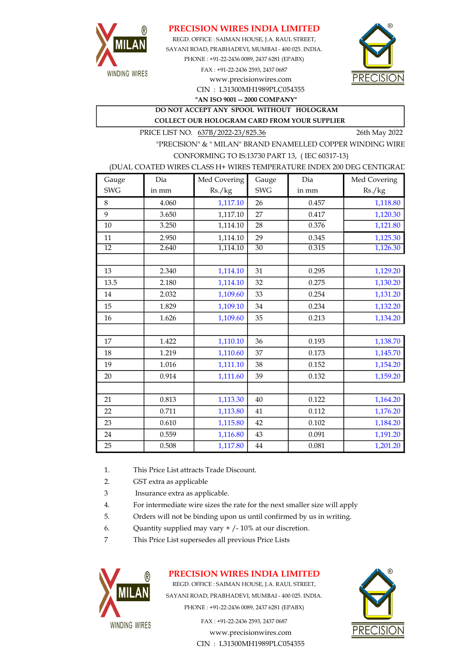

## PRECISION WIRES INDIA LIMITED

REGD. OFFICE : SAIMAN HOUSE, J.A. RAUL STREET, CIN : L31300MH1989PLC054355 SAYANI ROAD, PRABHADEVI, MUMBAI - 400 025. INDIA. PHONE : +91-22-2436 0089, 2437 6281 (EPABX) FAX : +91-22-2436 2593, 2437 0687 www.precisionwires.com



"AN ISO 9001 -- 2000 COMPANY"

DO NOT ACCEPT ANY SPOOL WITHOUT HOLOGRAM COLLECT OUR HOLOGRAM CARD FROM YOUR SUPPLIER

PRICE LIST NO. 637B/2022-23/825.36 26th May 2022

"PRECISION" & " MILAN" BRAND ENAMELLED COPPER WINDING WIRE CONFORMING TO IS:13730 PART 13, ( IEC 60317-13)

#### (DUAL COATED WIRES CLASS H+ WIRES TEMPERATURE INDEX 200 DEG CENTIGRAD

| Gauge           | Dia   | Med Covering | Gauge           | Dia   | Med Covering |
|-----------------|-------|--------------|-----------------|-------|--------------|
| <b>SWG</b>      | in mm | Rs./kg       | <b>SWG</b>      | in mm | Rs./kg       |
| 8               | 4.060 | 1,117.10     | 26              | 0.457 | 1,118.80     |
| 9               | 3.650 | 1,117.10     | 27              | 0.417 | 1,120.30     |
| 10              | 3.250 | 1,114.10     | 28              | 0.376 | 1,121.80     |
| 11              | 2.950 | 1,114.10     | 29              | 0.345 | 1,125.30     |
| $\overline{12}$ | 2.640 | 1,114.10     | $\overline{30}$ | 0.315 | 1,126.30     |
|                 |       |              |                 |       |              |
| 13              | 2.340 | 1,114.10     | 31              | 0.295 | 1,129.20     |
| 13.5            | 2.180 | 1,114.10     | 32              | 0.275 | 1,130.20     |
| 14              | 2.032 | 1,109.60     | 33              | 0.254 | 1,131.20     |
| 15              | 1.829 | 1,109.10     | 34              | 0.234 | 1,132.20     |
| 16              | 1.626 | 1,109.60     | 35              | 0.213 | 1,134.20     |
|                 |       |              |                 |       |              |
| 17              | 1.422 | 1,110.10     | 36              | 0.193 | 1,138.70     |
| 18              | 1.219 | 1,110.60     | 37              | 0.173 | 1,145.70     |
| 19              | 1.016 | 1,111.10     | 38              | 0.152 | 1,154.20     |
| 20              | 0.914 | 1,111.60     | 39              | 0.132 | 1,159.20     |
|                 |       |              |                 |       |              |
| 21              | 0.813 | 1,113.30     | 40              | 0.122 | 1,164.20     |
| 22              | 0.711 | 1,113.80     | 41              | 0.112 | 1,176.20     |
| 23              | 0.610 | 1,115.80     | 42              | 0.102 | 1,184.20     |
| 24              | 0.559 | 1,116.80     | 43              | 0.091 | 1,191.20     |
| 25              | 0.508 | 1,117.80     | 44              | 0.081 | 1,201.20     |

- 1. This Price List attracts Trade Discount.
- 2. GST extra as applicable
- 3 Insurance extra as applicable.
- 4. For intermediate wire sizes the rate for the next smaller size will apply
- 5. Orders will not be binding upon us until confirmed by us in writing.
- 6. Quantity supplied may vary  $+/-10\%$  at our discretion.
- 7 This Price List supersedes all previous Price Lists



## PRECISION WIRES INDIA LIMITED

REGD. OFFICE : SAIMAN HOUSE, J.A. RAUL STREET, SAYANI ROAD, PRABHADEVI, MUMBAI - 400 025. INDIA. PHONE : +91-22-2436 0089, 2437 6281 (EPABX)

> www.precisionwires.com CIN : L31300MH1989PLC054355 FAX : +91-22-2436 2593, 2437 0687